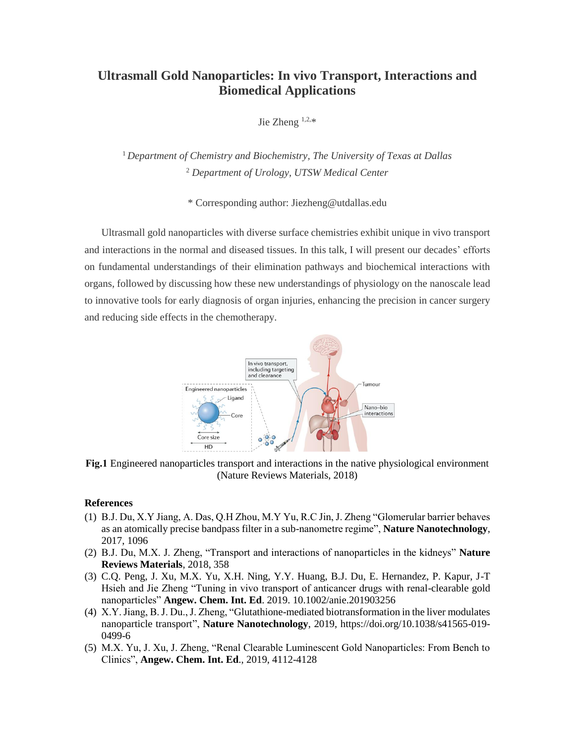## **Ultrasmall Gold Nanoparticles: In vivo Transport, Interactions and Biomedical Applications**

Jie Zheng  $1,2,*$ 

<sup>1</sup> Department of Chemistry and Biochemistry, The University of Texas at Dallas <sup>2</sup> *Department of Urology, UTSW Medical Center* 

\* Corresponding author: Jiezheng@utdallas.edu

Ultrasmall gold nanoparticles with diverse surface chemistries exhibit unique in vivo transport and interactions in the normal and diseased tissues. In this talk, I will present our decades' efforts on fundamental understandings of their elimination pathways and biochemical interactions with organs, followed by discussing how these new understandings of physiology on the nanoscale lead to innovative tools for early diagnosis of organ injuries, enhancing the precision in cancer surgery and reducing side effects in the chemotherapy.



**Fig.1** Engineered nanoparticles transport and interactions in the native physiological environment (Nature Reviews Materials, 2018)

## **References**

- (1) B.J. Du, X.Y Jiang, A. Das, Q.H Zhou, M.Y Yu, R.C Jin, J. Zheng "Glomerular barrier behaves as an atomically precise bandpass filter in a sub-nanometre regime", **Nature Nanotechnology**, 2017, 1096
- (2) B.J. Du, M.X. J. Zheng, "Transport and interactions of nanoparticles in the kidneys" **Nature Reviews Materials**, 2018, 358
- (3) C.Q. Peng, J. Xu, M.X. Yu, X.H. Ning, Y.Y. Huang, B.J. Du, E. Hernandez, P. Kapur, J-T Hsieh and Jie Zheng "Tuning in vivo transport of anticancer drugs with renal-clearable gold nanoparticles" **Angew. Chem. Int. Ed**. 2019. 10.1002/anie.201903256
- (4) X.Y. Jiang, B. J. Du., J. Zheng, "Glutathione-mediated biotransformation in the liver modulates nanoparticle transport", **Nature Nanotechnology**, 2019, https://doi.org/10.1038/s41565-019- 0499-6
- (5) M.X. Yu, J. Xu, J. Zheng, "Renal Clearable Luminescent Gold Nanoparticles: From Bench to Clinics", **Angew. Chem. Int. Ed**., 2019, 4112-4128